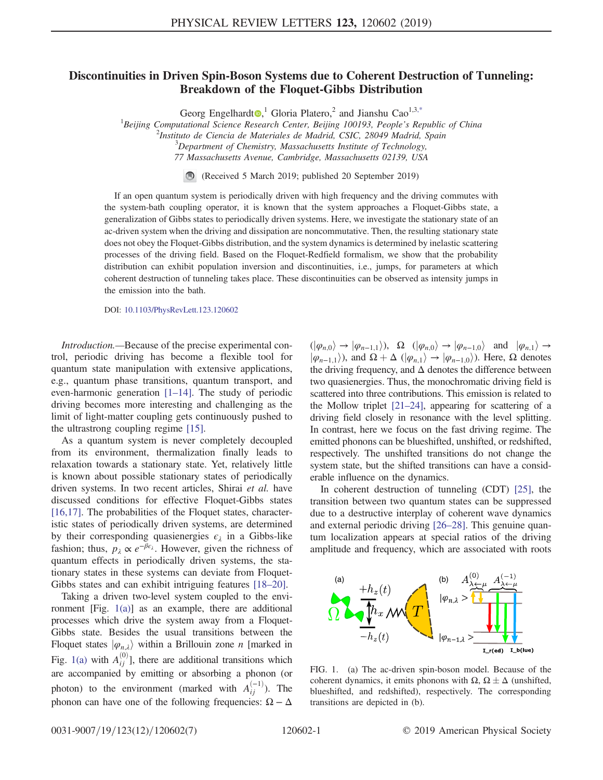## <span id="page-0-1"></span>Discontinuities in Driven Spin-Boson Systems due to Coherent Destruction of Tunneling: Breakdown of the Floquet-Gibbs Distribution

Georg Engelhardt<sup>o, 1</sup> Gloria Platero, <sup>2</sup> and Jianshu Cao<sup>1,3[,\\*](#page-4-0)</sup>

<sup>1</sup>Beijing Computational Science Research Center, Beijing 100193, People's Republic of China<br><sup>2</sup>Institute de Ciencia de Materiales de Madrid, CSIC, 28040 Madrid, Spain

 $^2$ Instituto de Ciencia de Materiales de Madrid, CSIC, 28049 Madrid, Spain

 $3$ Department of Chemistry, Massachusetts Institute of Technology,

77 Massachusetts Avenue, Cambridge, Massachusetts 02139, USA

(Received 5 March 2019; published 20 September 2019)

If an open quantum system is periodically driven with high frequency and the driving commutes with the system-bath coupling operator, it is known that the system approaches a Floquet-Gibbs state, a generalization of Gibbs states to periodically driven systems. Here, we investigate the stationary state of an ac-driven system when the driving and dissipation are noncommutative. Then, the resulting stationary state does not obey the Floquet-Gibbs distribution, and the system dynamics is determined by inelastic scattering processes of the driving field. Based on the Floquet-Redfield formalism, we show that the probability distribution can exhibit population inversion and discontinuities, i.e., jumps, for parameters at which coherent destruction of tunneling takes place. These discontinuities can be observed as intensity jumps in the emission into the bath.

DOI: [10.1103/PhysRevLett.123.120602](https://doi.org/10.1103/PhysRevLett.123.120602)

Introduction.—Because of the precise experimental control, periodic driving has become a flexible tool for quantum state manipulation with extensive applications, e.g., quantum phase transitions, quantum transport, and even-harmonic generation [1–[14\].](#page-4-1) The study of periodic driving becomes more interesting and challenging as the limit of light-matter coupling gets continuously pushed to the ultrastrong coupling regime [\[15\].](#page-4-2)

As a quantum system is never completely decoupled from its environment, thermalization finally leads to relaxation towards a stationary state. Yet, relatively little is known about possible stationary states of periodically driven systems. In two recent articles, Shirai et al. have discussed conditions for effective Floquet-Gibbs states [\[16,17\]](#page-4-3). The probabilities of the Floquet states, characteristic states of periodically driven systems, are determined by their corresponding quasienergies  $\epsilon_{\lambda}$  in a Gibbs-like fashion; thus,  $p_{\lambda} \propto e^{-\beta \epsilon_{\lambda}}$ . However, given the richness of quantum effects in periodically driven systems, the stationary states in these systems can deviate from Floquet-Gibbs states and can exhibit intriguing features [\[18](#page-4-4)–20].

Taking a driven two-level system coupled to the environment [Fig. [1\(a\)\]](#page-0-0) as an example, there are additional processes which drive the system away from a Floquet-Gibbs state. Besides the usual transitions between the Floquet states  $|\varphi_{n,\lambda}\rangle$  within a Brillouin zone *n* [marked in Fig. [1\(a\)](#page-0-0) with  $A_{ii}^{(0)}$ ], there are additional transitions which are accompanied by emitting or absorbing a phonon (or photon) to the environment (marked with  $A_{ii}^{(-1)}$ ). The phonon can have one of the following frequencies:  $\Omega - \Delta$ 

 $(|\varphi_{n,0}\rangle \to |\varphi_{n-1,1}\rangle)$ ,  $\Omega$   $(|\varphi_{n,0}\rangle \to |\varphi_{n-1,0}\rangle$  and  $|\varphi_{n,1}\rangle \to$  $|\varphi_{n-1,1}\rangle$ ), and  $\Omega + \Delta$  ( $|\varphi_{n,1}\rangle \rightarrow |\varphi_{n-1,0}\rangle$ ). Here,  $\Omega$  denotes the driving frequency, and  $\Delta$  denotes the difference between two quasienergies. Thus, the monochromatic driving field is scattered into three contributions. This emission is related to the Mollow triplet [21–[24\],](#page-5-0) appearing for scattering of a driving field closely in resonance with the level splitting. In contrast, here we focus on the fast driving regime. The emitted phonons can be blueshifted, unshifted, or redshifted, respectively. The unshifted transitions do not change the system state, but the shifted transitions can have a considerable influence on the dynamics.

In coherent destruction of tunneling (CDT) [\[25\],](#page-5-1) the transition between two quantum states can be suppressed due to a destructive interplay of coherent wave dynamics and external periodic driving [26–[28\].](#page-5-2) This genuine quantum localization appears at special ratios of the driving amplitude and frequency, which are associated with roots

<span id="page-0-0"></span>

FIG. 1. (a) The ac-driven spin-boson model. Because of the coherent dynamics, it emits phonons with  $\Omega$ ,  $\Omega \pm \Delta$  (unshifted, blueshifted, and redshifted) respectively. The corresponding blueshifted, and redshifted), respectively. The corresponding transitions are depicted in (b).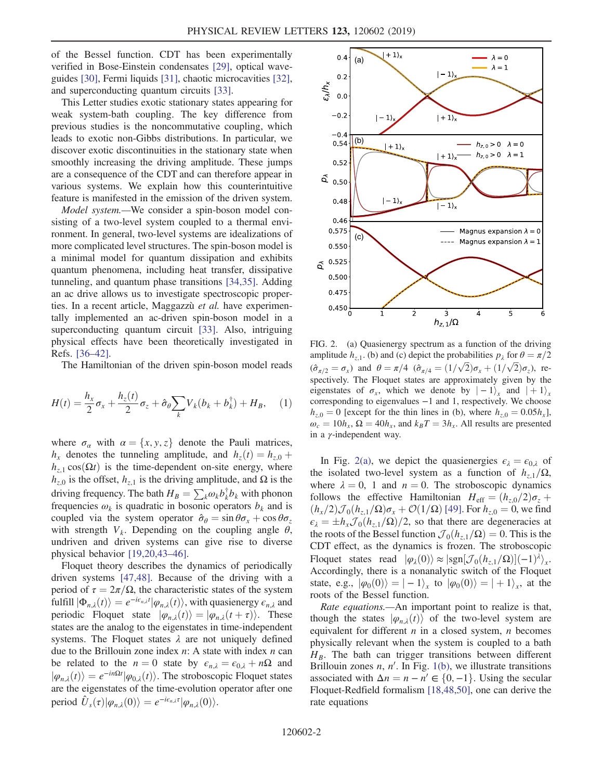of the Bessel function. CDT has been experimentally verified in Bose-Einstein condensates [\[29\]](#page-5-3), optical waveguides [\[30\]](#page-5-4), Fermi liquids [\[31\],](#page-5-5) chaotic microcavities [\[32\]](#page-5-6), and superconducting quantum circuits [\[33\].](#page-5-7)

This Letter studies exotic stationary states appearing for weak system-bath coupling. The key difference from previous studies is the noncommutative coupling, which leads to exotic non-Gibbs distributions. In particular, we discover exotic discontinuities in the stationary state when smoothly increasing the driving amplitude. These jumps are a consequence of the CDT and can therefore appear in various systems. We explain how this counterintuitive feature is manifested in the emission of the driven system.

Model system.—We consider a spin-boson model consisting of a two-level system coupled to a thermal environment. In general, two-level systems are idealizations of more complicated level structures. The spin-boson model is a minimal model for quantum dissipation and exhibits quantum phenomena, including heat transfer, dissipative tunneling, and quantum phase transitions [\[34,35\].](#page-5-8) Adding an ac drive allows us to investigate spectroscopic properties. In a recent article, Maggazzù et al. have experimentally implemented an ac-driven spin-boson model in a superconducting quantum circuit [\[33\]](#page-5-7). Also, intriguing physical effects have been theoretically investigated in Refs. [\[36](#page-5-9)–42].

<span id="page-1-2"></span>The Hamiltonian of the driven spin-boson model reads

$$
H(t) = \frac{h_x}{2}\sigma_x + \frac{h_z(t)}{2}\sigma_z + \hat{\sigma}_\theta \sum_k V_k(b_k + b_k^{\dagger}) + H_B, \quad (1)
$$

where  $\sigma_{\alpha}$  with  $\alpha = \{x, y, z\}$  denote the Pauli matrices,  $h_x$  denotes the tunneling amplitude, and  $h_z(t) = h_{z,0} +$  $h_{z,1}$  cos $(\Omega t)$  is the time-dependent on-site energy, where  $h_{z,0}$  is the offset,  $h_{z,1}$  is the driving amplitude, and  $\Omega$  is the driving frequency. The bath  $H_B = \sum_k \omega_k b_k^{\dagger} b_k$  with phonon<br>frequencies  $\omega_k$  is quadratic in bosonic operators  $b_k$  and is frequencies  $\omega_k$  is quadratic in bosonic operators  $b_k$  and is coupled via the system operator  $\hat{\sigma}_{\theta} = \sin \theta \sigma_x + \cos \theta \sigma_z$ with strength  $V_k$ . Depending on the coupling angle  $\theta$ , undriven and driven systems can give rise to diverse physical behavior [\[19,20,43](#page-4-5)–46].

Floquet theory describes the dynamics of periodically driven systems [\[47,48\].](#page-5-10) Because of the driving with a period of  $\tau = 2\pi/\Omega$ , the characteristic states of the system fulfill  $|\Phi_{n,\lambda}(t)\rangle = e^{-i\epsilon_{n,\lambda}t} |\varphi_{n,\lambda}(t)\rangle$ , with quasienergy  $\epsilon_{n,\lambda}$  and<br>periodic. Floquet, state  $|\varphi_{n,\lambda}(t)\rangle = |\varphi_{n,\lambda}(t+\tau)\rangle$ . These periodic Floquet state  $|\varphi_{n,\lambda}(t)\rangle = |\varphi_{n,\lambda}(t+\tau)\rangle$ . These states are the analog to the eigenstates in time-independent systems. The Floquet states  $\lambda$  are not uniquely defined due to the Brillouin zone index  $n$ : A state with index  $n$  can be related to the  $n = 0$  state by  $\epsilon_{n,\lambda} = \epsilon_{0,\lambda} + n\Omega$  and  $|\varphi_{n,\lambda}(t)\rangle = e^{-in\Omega t} |\varphi_{0,\lambda}(t)\rangle$ . The stroboscopic Floquet states are the eigenstates of the time-evolution operator after one are the eigenstates of the time-evolution operator after one period  $\hat{U}_s(\tau)|\varphi_{n,\lambda}(0)\rangle = e^{-i\epsilon_{n,\lambda}\tau}|\varphi_{n,\lambda}(0)\rangle.$ 

<span id="page-1-0"></span>

FIG. 2. (a) Quasienergy spectrum as a function of the driving amplitude  $h_{z,1}$ . (b) and (c) depict the probabilities  $p_{\lambda}$  for  $\theta = \pi/2$  $(\hat{\sigma}_{\pi/2} = \sigma_x)$  and  $\theta = \pi/4$   $(\hat{\sigma}_{\pi/4} = (1/\sqrt{2})\sigma_x + (1/\sqrt{2})\sigma_z)$ , respectively. The Floquet states are approximately given by the eigenstates of  $\sigma_x$ , which we denote by  $|-1\rangle_x$  and  $|+1\rangle_x$ corresponding to eigenvalues −1 and 1, respectively. We choose  $h_{z,0} = 0$  [except for the thin lines in (b), where  $h_{z,0} = 0.05h_x$ ],  $\omega_c = 10h_x$ ,  $\Omega = 40h_x$ , and  $k_B T = 3h_x$ . All results are presented in a  $\gamma$ -independent way.

In Fig. [2\(a\),](#page-1-0) we depict the quasienergies  $\epsilon_{\lambda} = \epsilon_{0,\lambda}$  of the isolated two-level system as a function of  $h_{7,1}/\Omega$ , where  $\lambda = 0$ , 1 and  $n = 0$ . The stroboscopic dynamics follows the effective Hamiltonian  $H_{\text{eff}} = (h_{z,0}/2)\sigma_z +$  $(h_x/2) \mathcal{J}_0(h_{z,1}/\Omega) \sigma_x + \mathcal{O}(1/\Omega)$  [\[49\].](#page-5-11) For  $h_{z,0} = 0$ , we find  $\epsilon_{\lambda} = \pm h_x \mathcal{J}_0(h_{z,1}/\Omega)/2$ , so that there are degeneracies at the roots of the Bessel function  $\mathcal{J}_2(h_{z,1}/\Omega) = 0$ . This is the the roots of the Bessel function  $\mathcal{J}_0(h_{z,1}/\Omega)=0$ . This is the CDT effect, as the dynamics is frozen. The stroboscopic Floquet states read  $|\varphi_\lambda(0)\rangle \approx |\text{sgn}[\mathcal{J}_0(h_{z,1}/\Omega)](-1)^{\lambda}\rangle_x$ . Accordingly, there is a nonanalytic switch of the Floquet state, e.g.,  $|\varphi_0(0)\rangle = |-1\rangle_x$  to  $|\varphi_0(0)\rangle = |+1\rangle_x$ , at the roots of the Bessel function.

<span id="page-1-1"></span>Rate equations.—An important point to realize is that, though the states  $|\varphi_{n,\lambda}(t)\rangle$  of the two-level system are equivalent for different  $n$  in a closed system,  $n$  becomes physically relevant when the system is coupled to a bath  $H_B$ . The bath can trigger transitions between different Brillouin zones  $n, n'$ . In Fig. [1\(b\),](#page-0-0) we illustrate transitions associated with  $\Delta n = n - n' \in \{0, -1\}$ . Using the secular Floquet-Redfield formalism [\[18,48,50\],](#page-4-4) one can derive the rate equations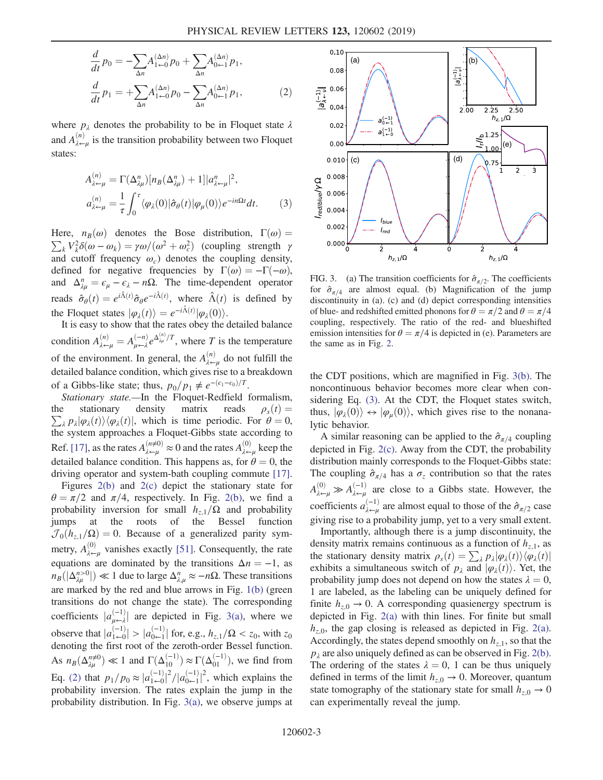$$
\frac{d}{dt}p_0 = -\sum_{\Delta n} A_{1 \leftarrow 0}^{(\Delta n)} p_0 + \sum_{\Delta n} A_{0 \leftarrow 1}^{(\Delta n)} p_1,
$$
\n
$$
\frac{d}{dt}p_1 = +\sum_{\Delta n} A_{1 \leftarrow 0}^{(\Delta n)} p_0 - \sum_{\Delta n} A_{0 \leftarrow 1}^{(\Delta n)} p_1,
$$
\n(2)

<span id="page-2-1"></span>where  $p_{\lambda}$  denotes the probability to be in Floquet state  $\lambda$ and  $A_{\lambda\leftarrow\mu}^{(n)}$  is the transition probability between two Floquet states:

$$
A_{\lambda \leftarrow \mu}^{(n)} = \Gamma(\Delta_{\lambda \mu}^{n}) [n_B(\Delta_{\lambda \mu}^{n}) + 1] |a_{\lambda \leftarrow \mu}^{n}|^2,
$$
  
\n
$$
a_{\lambda \leftarrow \mu}^{(n)} = \frac{1}{\tau} \int_0^{\tau} \langle \varphi_{\lambda}(0) | \hat{\sigma}_{\theta}(t) | \varphi_{\mu}(0) \rangle e^{-in\Omega t} dt. \tag{3}
$$

 $\sum_k V_k^2 \delta(\omega - \omega_k) = \gamma \omega/(\omega^2 + \omega_c^2)$  (coupling strength  $\gamma$ )<br>and cutoff frequency  $\omega$ ) denotes the coupling density Here,  $n_B(\omega)$  denotes the Bose distribution,  $\Gamma(\omega) =$ and cutoff frequency  $\omega_c$ ) denotes the coupling density, defined for negative frequencies by  $\Gamma(\omega) = -\Gamma(-\omega)$ , and  $\Delta_{\lambda\mu}^n = \epsilon_\mu - \epsilon_\lambda - n\Omega$ . The time-dependent operator reads  $\hat{\sigma}_{\theta}(t) = e^{i\hat{\Lambda}(t)} \hat{\sigma}_{\theta} e^{-i\hat{\Lambda}(t)}$ , where  $\hat{\Lambda}(t)$  is defined by the Floquet states  $|\varphi_{\lambda}(t)\rangle = e^{-i\hat{\Lambda}(t)}|\varphi_{\lambda}(0)\rangle$ .<br>It is easy to show that the rates obey the  $\theta$ 

It is easy to show that the rates obey the detailed balance condition  $A_{\lambda \leftarrow \mu}^{(n)} = A_{\mu \leftarrow \lambda}^{(-n)} e^{\Delta_{\lambda \mu}^{(n)}/T}$ , where T is the temperature of the environment. In general, the  $A_{\lambda\leftarrow\mu}^{(n)}$  do not fulfill the detailed balance condition, which gives rise to a breakdown of a Gibbs-like state; thus,  $p_0/p_1 \neq e^{-(\epsilon_1-\epsilon_0)/T}$ .

Stationary state.—In the Floquet-Redfield formalism, the stationary density matrix reads  $\sum_{\lambda} p_{\lambda} | \varphi_{\lambda}(t) \rangle \langle \varphi_{\lambda}(t) |$ , which is time periodic. For  $\theta = 0$ , the system approaches a Eloquet-Gibbs state according to  $\rho_s(t) =$ the system approaches a Floquet-Gibbs state according to Ref. [\[17\]](#page-4-6), as the rates  $A_{\lambda\leftarrow\mu}^{(n\neq 0)} \approx 0$  and the rates  $A_{\lambda\leftarrow\mu}^{(0)}$  keep the detailed balance condition. This happens as, for  $\theta = 0$ , the driving operator and system-bath coupling commute [\[17\]](#page-4-6).

Figures [2\(b\)](#page-1-0) and [2\(c\)](#page-1-0) depict the stationary state for  $\theta = \pi/2$  and  $\pi/4$ , respectively. In Fig. [2\(b\),](#page-1-0) we find a probability inversion for small  $h_{z,1}/\Omega$  and probability jumps at the roots of the Bessel function  $\mathcal{J}_0(h_{z,1}/\Omega) = 0$ . Because of a generalized parity symmetry,  $A_{\lambda\leftarrow\mu}^{(0)}$  vanishes exactly [\[51\]](#page-5-12). Consequently, the rate equations are dominated by the transitions  $\Delta n = -1$ , as  $n_B(|\Delta_{\lambda\mu}^{n>0}|) \ll 1$  due to large  $\Delta_{\lambda,\mu}^n \approx -n\Omega$ . These transitions are marked by the red and blue arrows in Fig. [1\(b\)](#page-0-0) (green transitions do not change the state). The corresponding coefficients  $|a_{\mu \leftarrow \lambda}^{(-1)}|$  are depicted in Fig. [3\(a\),](#page-2-0) where we observe that  $|a_{1\leftarrow 0}^{(-1)}| > |a_{0\leftarrow 1}^{(-1)}|$  for, e.g.,  $h_{z,1}/\Omega < z_0$ , with  $z_0$  denoting the first root of the zeroth-order Bessel function denoting the first root of the zeroth-order Bessel function. As  $n_B(\Delta_{\lambda\mu}^{n\neq0}) \ll 1$  and  $\Gamma(\Delta_{10}^{(-1)}) \approx \Gamma(\Delta_{01}^{(-1)})$ , we find from Eq. [\(2\)](#page-1-1) that  $p_1/p_0 \approx |a_{1\leftarrow 0}^{(-1)}|$ <br>probability inversion. The  $\frac{2}{|a_{0-1}^{(-1)}|}$  $2$ , which explains the probability inversion. The rates explain the jump in the probability distribution. In Fig. [3\(a\)](#page-2-0), we observe jumps at

<span id="page-2-0"></span>

FIG. 3. (a) The transition coefficients for  $\hat{\sigma}_{\pi/2}$ . The coefficients for  $\hat{\sigma}_{\pi/4}$  are almost equal. (b) Magnification of the jump discontinuity in (a). (c) and (d) depict corresponding intensities of blue- and redshifted emitted phonons for  $\theta = \pi/2$  and  $\theta = \pi/4$ coupling, respectively. The ratio of the red- and blueshifted emission intensities for  $\theta = \pi/4$  is depicted in (e). Parameters are the same as in Fig. [2](#page-1-0).

the CDT positions, which are magnified in Fig. [3\(b\).](#page-2-0) The noncontinuous behavior becomes more clear when considering Eq. [\(3\).](#page-2-1) At the CDT, the Floquet states switch, thus,  $|\varphi_1(0)\rangle \leftrightarrow |\varphi_n(0)\rangle$ , which gives rise to the nonanalytic behavior.

A similar reasoning can be applied to the  $\hat{\sigma}_{\pi/4}$  coupling depicted in Fig. [2\(c\).](#page-1-0) Away from the CDT, the probability distribution mainly corresponds to the Floquet-Gibbs state: The coupling  $\hat{\sigma}_{\pi/4}$  has a  $\sigma_z$  contribution so that the rates  $A_{\lambda\leftarrow\mu}^{(0)} \gg A_{\lambda\leftarrow\mu}^{(-1)}$  are close to a Gibbs state. However, the coefficients  $a_{\lambda \leftarrow \mu}^{(-1)}$  are almost equal to those of the  $\hat{\sigma}_{\pi/2}$  case giving rise to a probability jump, yet to a very small extent.

Importantly, although there is a jump discontinuity, the density matrix remains continuous as a function of  $h_{z,1}$ , as the stationary density matrix  $\rho_s(t) = \sum_{\lambda} p_{\lambda} |\varphi_{\lambda}(t)\rangle \langle \varphi_{\lambda}(t)|$ exhibits a simultaneous switch of  $p_{\lambda}$  and  $|\varphi_{\lambda}(t)\rangle$ . Yet, the probability jump does not depend on how the states  $\lambda = 0$ , 1 are labeled, as the labeling can be uniquely defined for finite  $h_{z,0} \rightarrow 0$ . A corresponding quasienergy spectrum is depicted in Fig. [2\(a\)](#page-1-0) with thin lines. For finite but small  $h_{z,0}$ , the gap closing is released as depicted in Fig. [2\(a\)](#page-1-0). Accordingly, the states depend smoothly on  $h_{z,1}$ , so that the  $p_{\lambda}$  are also uniquely defined as can be observed in Fig. [2\(b\)](#page-1-0). The ordering of the states  $\lambda = 0$ , 1 can be thus uniquely defined in terms of the limit  $h_{z,0} \rightarrow 0$ . Moreover, quantum state tomography of the stationary state for small  $h_{z,0} \rightarrow 0$ can experimentally reveal the jump.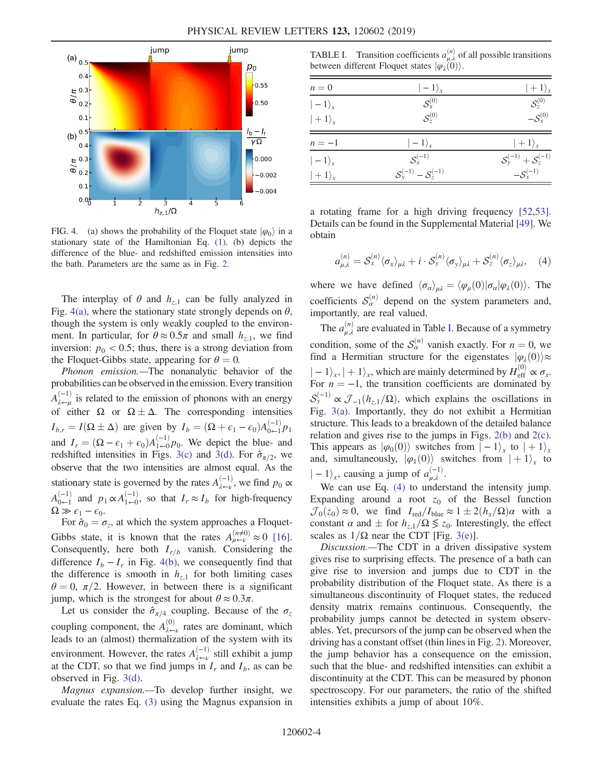<span id="page-3-0"></span>

FIG. 4. (a) shows the probability of the Floquet state  $|\varphi_0\rangle$  in a stationary state of the Hamiltonian Eq. [\(1\)](#page-1-2). (b) depicts the difference of the blue- and redshifted emission intensities into the bath. Parameters are the same as in Fig. [2.](#page-1-0)

The interplay of  $\theta$  and  $h_{z,1}$  can be fully analyzed in Fig. [4\(a\),](#page-3-0) where the stationary state strongly depends on  $\theta$ , though the system is only weakly coupled to the environment. In particular, for  $\theta \approx 0.5\pi$  and small  $h_{z,1}$ , we find inversion:  $p_0 < 0.5$ ; thus, there is a strong deviation from the Floquet-Gibbs state, appearing for  $\theta = 0$ .

Phonon emission.—The nonanalytic behavior of the probabilities can be observed in the emission. Every transition  $A_{\lambda\leftarrow\mu}^{(-1)}$  is related to the emission of phonons with an energy of either  $\Omega$  or  $\Omega \pm \Delta$ . The corresponding intensities  $I_{b,r} = I(\Omega \pm \Delta)$  are given by  $I_b = (\Omega + \epsilon_1 - \epsilon_0) A_{0 \leftarrow 1}^{(-1)} p_1$ and  $I_r = (\Omega - \epsilon_1 + \epsilon_0) A_{1\leftarrow 0}^{(-1)} p_0$ . We depict the blue- and redshifted intensities in Figs. 3(c) and 3(d). For  $\hat{\sigma}$  is we redshifted intensities in Figs. [3\(c\)](#page-2-0) and [3\(d\).](#page-2-0) For  $\hat{\sigma}_{\pi/2}$ , we observe that the two intensities are almost equal. As the stationary state is governed by the rates  $A_{\lambda \leftarrow \nu}^{(-1)}$ , we find  $p_0 \propto$  $A_{0\leftarrow 1}^{(-1)}$  and  $p_1 \propto A_{1\leftarrow 0}^{(-1)}$ , so that  $I_r \approx I_b$  for high-frequency  $\Omega \gg \epsilon_1 - \epsilon_0$ .

For  $\hat{\sigma}_0 = \sigma_z$ , at which the system approaches a Floquet-Gibbs state, it is known that the rates  $A_{\mu\leftarrow\nu}^{(n\neq0)} \approx 0$  [\[16\]](#page-4-3). Consequently, here both  $I_{r/b}$  vanish. Considering the difference  $I_b - I_r$  in Fig. [4\(b\),](#page-3-0) we consequently find that the difference is smooth in  $h_{z,1}$  for both limiting cases  $\theta = 0$ ,  $\pi/2$ . However, in between there is a significant jump, which is the strongest for about  $\theta \approx 0.3\pi$ .

Let us consider the  $\hat{\sigma}_{\pi/4}$  coupling. Because of the  $\sigma_z$ coupling component, the  $A_{\lambda\leftarrow\nu}^{(0)}$  rates are dominant, which leads to an (almost) thermalization of the system with its environment. However, the rates  $A_{\lambda \leftarrow \nu}^{(-1)}$  still exhibit a jump at the CDT, so that we find jumps in  $I_r$  and  $I_b$ , as can be observed in Fig. [3\(d\)](#page-2-0).

Magnus expansion.—To develop further insight, we evaluate the rates Eq. [\(3\)](#page-2-1) using the Magnus expansion in

<span id="page-3-1"></span>TABLE I. Transition coefficients  $a_{\mu,\lambda}^{(n)}$  of all possible transitions between different Floquet states  $|\varphi_i(\vec{0})\rangle$ .

| ${\cal S}_{\rm r}^{(0)}$<br>$ -1\rangle_{r}$<br>$\mathcal{S}_z^{(0)}$<br>$ +1\rangle_{x}$<br>$ -1\rangle_{r}$<br>$n=-1$<br>$S_{y}^{(-1)} + S_{z}^{(-1)}$<br>$S_{r}^{(-1)}$<br>$ -1\rangle_{r}$<br>$S_{v}^{(-1)} - S_{z}^{(-1)}$ | $ +1\rangle_x$                              |
|---------------------------------------------------------------------------------------------------------------------------------------------------------------------------------------------------------------------------------|---------------------------------------------|
|                                                                                                                                                                                                                                 | $\mathcal{S}^{(0)}_{\scriptscriptstyle{7}}$ |
|                                                                                                                                                                                                                                 | $-\mathcal{S}_{r}^{(0)}$                    |
|                                                                                                                                                                                                                                 | $ +1\rangle_x$                              |
|                                                                                                                                                                                                                                 |                                             |
| $ +1\rangle_{x}$                                                                                                                                                                                                                | $-\mathcal{S}_x^{(-1)}$                     |

<span id="page-3-2"></span>a rotating frame for a high driving frequency [\[52,53\]](#page-5-13). Details can be found in the Supplemental Material [\[49\]](#page-5-11). We obtain

$$
a_{\mu,\lambda}^{(n)} = S_{x}^{(n)} \langle \sigma_{x} \rangle_{\mu\lambda} + i \cdot S_{y}^{(n)} \langle \sigma_{y} \rangle_{\mu\lambda} + S_{z}^{(n)} \langle \sigma_{z} \rangle_{\mu\lambda}, \quad (4)
$$

where we have defined  $\langle \sigma_{\alpha} \rangle_{\mu\lambda} = \langle \varphi_{\mu}(0) | \sigma_{\alpha} | \varphi_{\lambda}(0) \rangle$ . The coefficients  $S_\alpha^{(n)}$  depend on the system parameters and, importantly, are real valued.

The  $a_{\mu,\lambda}^{(n)}$  are evaluated in Table [I](#page-3-1). Because of a symmetry condition, some of the  $S_\alpha^{(n)}$  vanish exactly. For  $n = 0$ , we find a Hermitian structure for the eigenstates  $|\varphi_{\lambda}(0)\rangle \approx$  $| -1 \rangle_x$ ,  $| + 1 \rangle_x$ , which are mainly determined by  $H_{\text{eff}}^{(0)} \propto \sigma_x$ .<br>For  $n = -1$ , the transition coefficients are dominated by For  $n = -1$ , the transition coefficients are dominated by  $S_{\mathcal{Y}}^{(-1)} \propto \mathcal{J}_{-1}(h_{z,1}/\Omega)$ , which explains the oscillations in<br>Fig. 3(a) Importantly, they do not exhibit a Hermitian Fig. [3\(a\)](#page-2-0). Importantly, they do not exhibit a Hermitian structure. This leads to a breakdown of the detailed balance relation and gives rise to the jumps in Figs. [2\(b\)](#page-1-0) and [2\(c\)](#page-1-0). This appears as  $|\varphi_0(0)\rangle$  switches from  $|-1\rangle_x$  to  $|+1\rangle_x$ and, simultaneously,  $|\varphi_1(0)\rangle$  switches from  $|+1\rangle_x$  to  $\vert -1\rangle_{x}$ , causing a jump of  $a_{\mu,\lambda}^{(-1)}$ .<br>We can use Eq. (4) to under

We can use Eq. [\(4\)](#page-3-2) to understand the intensity jump. Expanding around a root  $z_0$  of the Bessel function  $\mathcal{J}_0(z_0) \approx 0$ , we find  $I_{\text{red}}/I_{\text{blue}} \approx 1 \pm 2(h_x/\Omega)\alpha$  with a constant  $\alpha$  and  $+$  for  $h \cdot/\Omega \le z_0$ . Interestingly the effect constant  $\alpha$  and  $\pm$  for  $h_{z,1}/\Omega \leq z_0$ . Interestingly, the effect scales as  $1/\Omega$  near the CDT [Fig. 3(e)] scales as  $1/\Omega$  near the CDT [Fig. [3\(e\)](#page-2-0)].

Discussion.—The CDT in a driven dissipative system gives rise to surprising effects. The presence of a bath can give rise to inversion and jumps due to CDT in the probability distribution of the Floquet state. As there is a simultaneous discontinuity of Floquet states, the reduced density matrix remains continuous. Consequently, the probability jumps cannot be detected in system observables. Yet, precursors of the jump can be observed when the driving has a constant offset (thin lines in Fig. [2\)](#page-1-0). Moreover, the jump behavior has a consequence on the emission, such that the blue- and redshifted intensities can exhibit a discontinuity at the CDT. This can be measured by phonon spectroscopy. For our parameters, the ratio of the shifted intensities exhibits a jump of about 10%.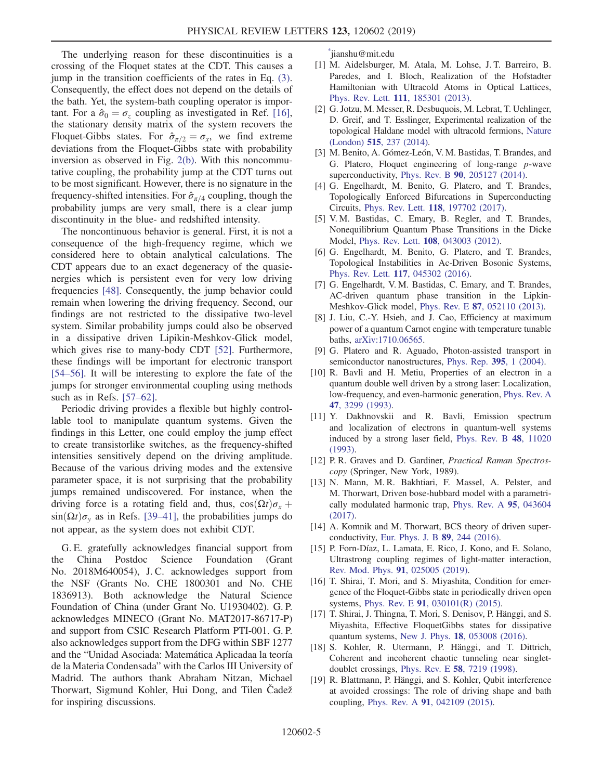The underlying reason for these discontinuities is a crossing of the Floquet states at the CDT. This causes a jump in the transition coefficients of the rates in Eq. [\(3\)](#page-2-1). Consequently, the effect does not depend on the details of the bath. Yet, the system-bath coupling operator is important. For a  $\hat{\sigma}_0 = \sigma_z$  coupling as investigated in Ref. [\[16\]](#page-4-3), the stationary density matrix of the system recovers the Floquet-Gibbs states. For  $\hat{\sigma}_{\pi/2} = \sigma_x$ , we find extreme deviations from the Floquet-Gibbs state with probability inversion as observed in Fig. [2\(b\)](#page-1-0). With this noncommutative coupling, the probability jump at the CDT turns out to be most significant. However, there is no signature in the frequency-shifted intensities. For  $\hat{\sigma}_{\pi/4}$  coupling, though the probability jumps are very small, there is a clear jump discontinuity in the blue- and redshifted intensity.

The noncontinuous behavior is general. First, it is not a consequence of the high-frequency regime, which we considered here to obtain analytical calculations. The CDT appears due to an exact degeneracy of the quasienergies which is persistent even for very low driving frequencies [\[48\]](#page-5-14). Consequently, the jump behavior could remain when lowering the driving frequency. Second, our findings are not restricted to the dissipative two-level system. Similar probability jumps could also be observed in a dissipative driven Lipikin-Meshkov-Glick model, which gives rise to many-body CDT [\[52\]](#page-5-13). Furthermore, these findings will be important for electronic transport [\[54](#page-5-15)–56]. It will be interesting to explore the fate of the jumps for stronger environmental coupling using methods such as in Refs. [\[57](#page-6-0)–62].

Periodic driving provides a flexible but highly controllable tool to manipulate quantum systems. Given the findings in this Letter, one could employ the jump effect to create transistorlike switches, as the frequency-shifted intensities sensitively depend on the driving amplitude. Because of the various driving modes and the extensive parameter space, it is not surprising that the probability jumps remained undiscovered. For instance, when the driving force is a rotating field and, thus,  $\cos(\Omega t)\sigma_{x}$  +  $\sin(\Omega t)\sigma_v$  as in Refs. [\[39](#page-5-16)–41], the probabilities jumps do not appear, as the system does not exhibit CDT.

G. E. gratefully acknowledges financial support from the China Postdoc Science Foundation (Grant No. 2018M640054), J. C. acknowledges support from the NSF (Grants No. CHE 1800301 and No. CHE 1836913). Both acknowledge the Natural Science Foundation of China (under Grant No. U1930402). G. P. acknowledges MINECO (Grant No. MAT2017-86717-P) and support from CSIC Research Platform PTI-001. G. P. also acknowledges support from the DFG within SBF 1277 and the "Unidad Asociada: Matemática Aplicadaa la teoría de la Materia Condensada" with the Carlos III University of Madrid. The authors thank Abraham Nitzan, Michael Thorwart, Sigmund Kohler, Hui Dong, and Tilen Čadež for inspiring discussions.

<span id="page-4-0"></span>[\\*](#page-0-1) jianshu@mit.edu

- <span id="page-4-1"></span>[1] M. Aidelsburger, M. Atala, M. Lohse, J. T. Barreiro, B. Paredes, and I. Bloch, Realization of the Hofstadter Hamiltonian with Ultracold Atoms in Optical Lattices, Phys. Rev. Lett. 111[, 185301 \(2013\).](https://doi.org/10.1103/PhysRevLett.111.185301)
- [2] G. Jotzu, M. Messer, R. Desbuquois, M. Lebrat, T. Uehlinger, D. Greif, and T. Esslinger, Experimental realization of the topological Haldane model with ultracold fermions, [Nature](https://doi.org/10.1038/nature13915) (London) 515[, 237 \(2014\)](https://doi.org/10.1038/nature13915).
- [3] M. Benito, A. Gómez-León, V. M. Bastidas, T. Brandes, and G. Platero, Floquet engineering of long-range p-wave superconductivity, Phys. Rev. B 90[, 205127 \(2014\)](https://doi.org/10.1103/PhysRevB.90.205127).
- [4] G. Engelhardt, M. Benito, G. Platero, and T. Brandes, Topologically Enforced Bifurcations in Superconducting Circuits, Phys. Rev. Lett. 118[, 197702 \(2017\)](https://doi.org/10.1103/PhysRevLett.118.197702).
- [5] V. M. Bastidas, C. Emary, B. Regler, and T. Brandes, Nonequilibrium Quantum Phase Transitions in the Dicke Model, Phys. Rev. Lett. 108[, 043003 \(2012\)](https://doi.org/10.1103/PhysRevLett.108.043003).
- [6] G. Engelhardt, M. Benito, G. Platero, and T. Brandes, Topological Instabilities in Ac-Driven Bosonic Systems, Phys. Rev. Lett. 117[, 045302 \(2016\).](https://doi.org/10.1103/PhysRevLett.117.045302)
- [7] G. Engelhardt, V. M. Bastidas, C. Emary, and T. Brandes, AC-driven quantum phase transition in the Lipkin-Meshkov-Glick model, Phys. Rev. E 87[, 052110 \(2013\)](https://doi.org/10.1103/PhysRevE.87.052110).
- [8] J. Liu, C.-Y. Hsieh, and J. Cao, Efficiency at maximum power of a quantum Carnot engine with temperature tunable baths, [arXiv:1710.06565](http://arXiv.org/abs/1710.06565).
- [9] G. Platero and R. Aguado, Photon-assisted transport in semiconductor nanostructures, [Phys. Rep.](https://doi.org/10.1016/j.physrep.2004.01.004) 395, 1 (2004).
- [10] R. Bavli and H. Metiu, Properties of an electron in a quantum double well driven by a strong laser: Localization, low-frequency, and even-harmonic generation, [Phys. Rev. A](https://doi.org/10.1103/PhysRevA.47.3299) 47[, 3299 \(1993\)](https://doi.org/10.1103/PhysRevA.47.3299).
- [11] Y. Dakhnovskii and R. Bavli, Emission spectrum and localization of electrons in quantum-well systems induced by a strong laser field, [Phys. Rev. B](https://doi.org/10.1103/PhysRevB.48.11020) 48, 11020 [\(1993\).](https://doi.org/10.1103/PhysRevB.48.11020)
- [12] P.R. Graves and D. Gardiner, Practical Raman Spectroscopy (Springer, New York, 1989).
- [13] N. Mann, M. R. Bakhtiari, F. Massel, A. Pelster, and M. Thorwart, Driven bose-hubbard model with a parametrically modulated harmonic trap, [Phys. Rev. A](https://doi.org/10.1103/PhysRevA.95.043604) 95, 043604 [\(2017\).](https://doi.org/10.1103/PhysRevA.95.043604)
- [14] A. Komnik and M. Thorwart, BCS theory of driven superconductivity, [Eur. Phys. J. B](https://doi.org/10.1140/epjb/e2016-70528-1) 89, 244 (2016).
- <span id="page-4-2"></span>[15] P. Forn-Díaz, L. Lamata, E. Rico, J. Kono, and E. Solano, Ultrastrong coupling regimes of light-matter interaction, [Rev. Mod. Phys.](https://doi.org/10.1103/RevModPhys.91.025005) 91, 025005 (2019).
- <span id="page-4-3"></span>[16] T. Shirai, T. Mori, and S. Miyashita, Condition for emergence of the Floquet-Gibbs state in periodically driven open systems, Phys. Rev. E 91[, 030101\(R\) \(2015\)](https://doi.org/10.1103/PhysRevE.91.030101).
- <span id="page-4-6"></span>[17] T. Shirai, J. Thingna, T. Mori, S. Denisov, P. Hänggi, and S. Miyashita, Effective FloquetGibbs states for dissipative quantum systems, New J. Phys. 18[, 053008 \(2016\)](https://doi.org/10.1088/1367-2630/18/5/053008).
- <span id="page-4-4"></span>[18] S. Kohler, R. Utermann, P. Hänggi, and T. Dittrich, Coherent and incoherent chaotic tunneling near singletdoublet crossings, Phys. Rev. E 58[, 7219 \(1998\)](https://doi.org/10.1103/PhysRevE.58.7219).
- <span id="page-4-5"></span>[19] R. Blattmann, P. Hänggi, and S. Kohler, Qubit interference at avoided crossings: The role of driving shape and bath coupling, Phys. Rev. A 91[, 042109 \(2015\)](https://doi.org/10.1103/PhysRevA.91.042109).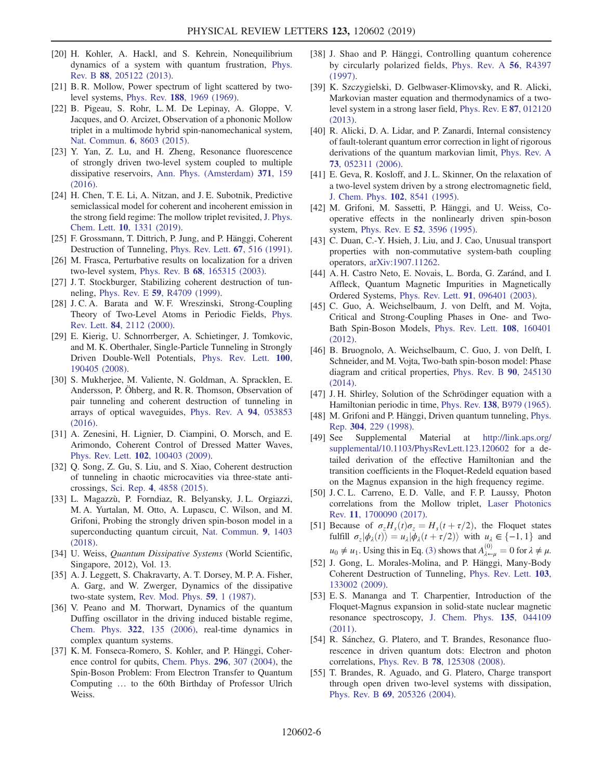- [20] H. Kohler, A. Hackl, and S. Kehrein, Nonequilibrium dynamics of a system with quantum frustration, [Phys.](https://doi.org/10.1103/PhysRevB.88.205122) Rev. B 88[, 205122 \(2013\).](https://doi.org/10.1103/PhysRevB.88.205122)
- <span id="page-5-0"></span>[21] B. R. Mollow, Power spectrum of light scattered by twolevel systems, Phys. Rev. 188[, 1969 \(1969\)](https://doi.org/10.1103/PhysRev.188.1969).
- [22] B. Pigeau, S. Rohr, L. M. De Lepinay, A. Gloppe, V. Jacques, and O. Arcizet, Observation of a phononic Mollow triplet in a multimode hybrid spin-nanomechanical system, [Nat. Commun.](https://doi.org/10.1038/ncomms9603) 6, 8603 (2015).
- [23] Y. Yan, Z. Lu, and H. Zheng, Resonance fluorescence of strongly driven two-level system coupled to multiple dissipative reservoirs, [Ann. Phys. \(Amsterdam\)](https://doi.org/10.1016/j.aop.2016.04.006) 371, 159 [\(2016\).](https://doi.org/10.1016/j.aop.2016.04.006)
- [24] H. Chen, T. E. Li, A. Nitzan, and J. E. Subotnik, Predictive semiclassical model for coherent and incoherent emission in the strong field regime: The mollow triplet revisited, [J. Phys.](https://doi.org/10.1021/acs.jpclett.9b00181) Chem. Lett. 10[, 1331 \(2019\).](https://doi.org/10.1021/acs.jpclett.9b00181)
- <span id="page-5-1"></span>[25] F. Grossmann, T. Dittrich, P. Jung, and P. Hänggi, Coherent Destruction of Tunneling, [Phys. Rev. Lett.](https://doi.org/10.1103/PhysRevLett.67.516) 67, 516 (1991).
- <span id="page-5-2"></span>[26] M. Frasca, Perturbative results on localization for a driven two-level system, Phys. Rev. B 68[, 165315 \(2003\)](https://doi.org/10.1103/PhysRevB.68.165315).
- [27] J. T. Stockburger, Stabilizing coherent destruction of tunneling, Phys. Rev. E 59[, R4709 \(1999\)](https://doi.org/10.1103/PhysRevE.59.R4709).
- [28] J.C.A. Barata and W.F. Wreszinski, Strong-Coupling Theory of Two-Level Atoms in Periodic Fields, [Phys.](https://doi.org/10.1103/PhysRevLett.84.2112) Rev. Lett. 84[, 2112 \(2000\)](https://doi.org/10.1103/PhysRevLett.84.2112).
- <span id="page-5-3"></span>[29] E. Kierig, U. Schnorrberger, A. Schietinger, J. Tomkovic, and M. K. Oberthaler, Single-Particle Tunneling in Strongly Driven Double-Well Potentials, [Phys. Rev. Lett.](https://doi.org/10.1103/PhysRevLett.100.190405) 100, [190405 \(2008\).](https://doi.org/10.1103/PhysRevLett.100.190405)
- <span id="page-5-4"></span>[30] S. Mukherjee, M. Valiente, N. Goldman, A. Spracklen, E. Andersson, P. Öhberg, and R. R. Thomson, Observation of pair tunneling and coherent destruction of tunneling in arrays of optical waveguides, [Phys. Rev. A](https://doi.org/10.1103/PhysRevA.94.053853) 94, 053853 [\(2016\).](https://doi.org/10.1103/PhysRevA.94.053853)
- <span id="page-5-5"></span>[31] A. Zenesini, H. Lignier, D. Ciampini, O. Morsch, and E. Arimondo, Coherent Control of Dressed Matter Waves, Phys. Rev. Lett. 102[, 100403 \(2009\).](https://doi.org/10.1103/PhysRevLett.102.100403)
- <span id="page-5-6"></span>[32] Q. Song, Z. Gu, S. Liu, and S. Xiao, Coherent destruction of tunneling in chaotic microcavities via three-state anticrossings, Sci. Rep. 4[, 4858 \(2015\)](https://doi.org/10.1038/srep04858).
- <span id="page-5-7"></span>[33] L. Magazzù, P. Forndiaz, R. Belyansky, J. L. Orgiazzi, M. A. Yurtalan, M. Otto, A. Lupascu, C. Wilson, and M. Grifoni, Probing the strongly driven spin-boson model in a superconducting quantum circuit, [Nat. Commun.](https://doi.org/10.1038/s41467-018-03626-w) 9, 1403 [\(2018\).](https://doi.org/10.1038/s41467-018-03626-w)
- <span id="page-5-8"></span>[34] U. Weiss, Quantum Dissipative Systems (World Scientific, Singapore, 2012), Vol. 13.
- [35] A. J. Leggett, S. Chakravarty, A. T. Dorsey, M. P. A. Fisher, A. Garg, and W. Zwerger, Dynamics of the dissipative two-state system, [Rev. Mod. Phys.](https://doi.org/10.1103/RevModPhys.59.1) 59, 1 (1987).
- <span id="page-5-9"></span>[36] V. Peano and M. Thorwart, Dynamics of the quantum Duffing oscillator in the driving induced bistable regime, Chem. Phys. 322[, 135 \(2006\),](https://doi.org/10.1016/j.chemphys.2005.06.047) real-time dynamics in complex quantum systems.
- [37] K. M. Fonseca-Romero, S. Kohler, and P. Hänggi, Coherence control for qubits, [Chem. Phys.](https://doi.org/10.1016/j.chemphys.2003.09.015) 296, 307 (2004), the Spin-Boson Problem: From Electron Transfer to Quantum Computing … to the 60th Birthday of Professor Ulrich Weiss.
- [38] J. Shao and P. Hänggi, Controlling quantum coherence by circularly polarized fields, [Phys. Rev. A](https://doi.org/10.1103/PhysRevA.56.R4397) 56, R4397 [\(1997\).](https://doi.org/10.1103/PhysRevA.56.R4397)
- <span id="page-5-16"></span>[39] K. Szczygielski, D. Gelbwaser-Klimovsky, and R. Alicki, Markovian master equation and thermodynamics of a twolevel system in a strong laser field, [Phys. Rev. E](https://doi.org/10.1103/PhysRevE.87.012120) 87, 012120 [\(2013\).](https://doi.org/10.1103/PhysRevE.87.012120)
- [40] R. Alicki, D. A. Lidar, and P. Zanardi, Internal consistency of fault-tolerant quantum error correction in light of rigorous derivations of the quantum markovian limit, [Phys. Rev. A](https://doi.org/10.1103/PhysRevA.73.052311) 73[, 052311 \(2006\).](https://doi.org/10.1103/PhysRevA.73.052311)
- [41] E. Geva, R. Kosloff, and J. L. Skinner, On the relaxation of a two-level system driven by a strong electromagnetic field, [J. Chem. Phys.](https://doi.org/10.1063/1.468844) 102, 8541 (1995).
- [42] M. Grifoni, M. Sassetti, P. Hänggi, and U. Weiss, Cooperative effects in the nonlinearly driven spin-boson system, Phys. Rev. E 52[, 3596 \(1995\).](https://doi.org/10.1103/PhysRevE.52.3596)
- [43] C. Duan, C.-Y. Hsieh, J. Liu, and J. Cao, Unusual transport properties with non-commutative system-bath coupling operators, [arXiv:1907.11262](http://arXiv.org/abs/1907.11262).
- [44] A. H. Castro Neto, E. Novais, L. Borda, G. Zaránd, and I. Affleck, Quantum Magnetic Impurities in Magnetically Ordered Systems, Phys. Rev. Lett. 91[, 096401 \(2003\)](https://doi.org/10.1103/PhysRevLett.91.096401).
- [45] C. Guo, A. Weichselbaum, J. von Delft, and M. Vojta, Critical and Strong-Coupling Phases in One- and Two-Bath Spin-Boson Models, [Phys. Rev. Lett.](https://doi.org/10.1103/PhysRevLett.108.160401) 108, 160401 [\(2012\).](https://doi.org/10.1103/PhysRevLett.108.160401)
- [46] B. Bruognolo, A. Weichselbaum, C. Guo, J. von Delft, I. Schneider, and M. Vojta, Two-bath spin-boson model: Phase diagram and critical properties, [Phys. Rev. B](https://doi.org/10.1103/PhysRevB.90.245130) 90, 245130 [\(2014\).](https://doi.org/10.1103/PhysRevB.90.245130)
- <span id="page-5-10"></span>[47] J. H. Shirley, Solution of the Schrödinger equation with a Hamiltonian periodic in time, Phys. Rev. 138[, B979 \(1965\).](https://doi.org/10.1103/PhysRev.138.B979)
- <span id="page-5-14"></span>[48] M. Grifoni and P. Hänggi, Driven quantum tunneling, [Phys.](https://doi.org/10.1016/S0370-1573(98)00022-2) Rep. 304[, 229 \(1998\)](https://doi.org/10.1016/S0370-1573(98)00022-2).
- <span id="page-5-11"></span>[49] See Supplemental Material at [http://link.aps.org/](http://link.aps.org/supplemental/10.1103/PhysRevLett.123.120602) [supplemental/10.1103/PhysRevLett.123.120602](http://link.aps.org/supplemental/10.1103/PhysRevLett.123.120602) for a detailed derivation of the effective Hamiltonian and the transition coefficients in the Floquet-Redeld equation based on the Magnus expansion in the high frequency regime.
- [50] J. C. L. Carreno, E. D. Valle, and F. P. Laussy, Photon correlations from the Mollow triplet, [Laser Photonics](https://doi.org/10.1002/lpor.201700090) Rev. 11[, 1700090 \(2017\).](https://doi.org/10.1002/lpor.201700090)
- <span id="page-5-12"></span>[51] Because of  $\sigma_z H_s(t)\sigma_z = H_s(t+\tau/2)$ , the Floquet states fulfill  $\sigma_z|\phi_\lambda(t)\rangle = u_\lambda|\phi_\lambda(t+\tau/2)\rangle$  with  $u_\lambda \in \{-1, 1\}$  and  $u_0 \neq u_1$ . Using this in Eq. [\(3\)](#page-2-1) shows that  $A_{\lambda-\mu}^{(0)} = 0$  for  $\lambda \neq \mu$ .<br>L. Cong. J. Moreles Moline, and B. Hänggi, Mony Body.
- <span id="page-5-13"></span>[52] J. Gong, L. Morales-Molina, and P. Hänggi, Many-Body Coherent Destruction of Tunneling, [Phys. Rev. Lett.](https://doi.org/10.1103/PhysRevLett.103.133002) 103, [133002 \(2009\).](https://doi.org/10.1103/PhysRevLett.103.133002)
- [53] E. S. Mananga and T. Charpentier, Introduction of the Floquet-Magnus expansion in solid-state nuclear magnetic resonance spectroscopy, [J. Chem. Phys.](https://doi.org/10.1063/1.3610943) 135, 044109 [\(2011\).](https://doi.org/10.1063/1.3610943)
- <span id="page-5-15"></span>[54] R. Sánchez, G. Platero, and T. Brandes, Resonance fluorescence in driven quantum dots: Electron and photon correlations, Phys. Rev. B 78[, 125308 \(2008\).](https://doi.org/10.1103/PhysRevB.78.125308)
- [55] T. Brandes, R. Aguado, and G. Platero, Charge transport through open driven two-level systems with dissipation, Phys. Rev. B 69[, 205326 \(2004\).](https://doi.org/10.1103/PhysRevB.69.205326)